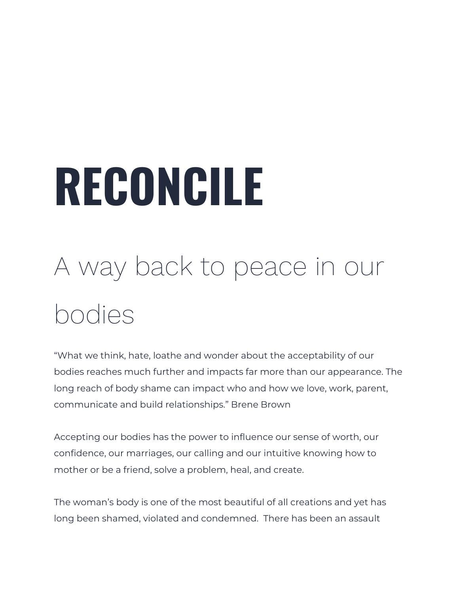# **RECONCILE**

## A way back to peace in our bodies

"What we think, hate, loathe and wonder about the acceptability of our bodies reaches much further and impacts far more than our appearance. The long reach of body shame can impact who and how we love, work, parent, communicate and build relationships." Brene Brown

Accepting our bodies has the power to influence our sense of worth, our confidence, our marriages, our calling and our intuitive knowing how to mother or be a friend, solve a problem, heal, and create.

The woman's body is one of the most beautiful of all creations and yet has long been shamed, violated and condemned. There has been an assault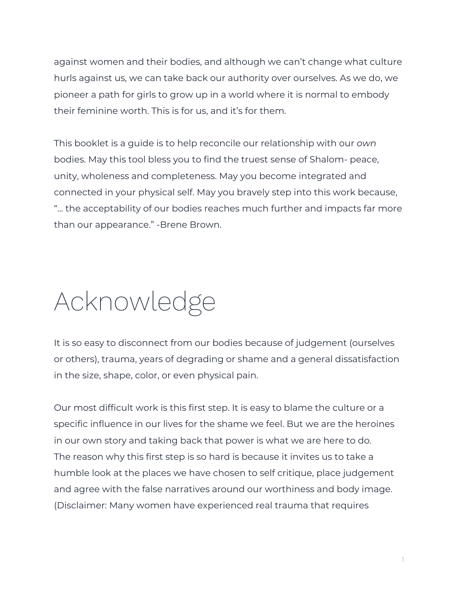against women and their bodies, and although we can't change what culture hurls against us, we can take back our authority over ourselves. As we do, we pioneer a path for girls to grow up in a world where it is normal to embody their feminine worth. This is for us, and it's for them.

This booklet is a guide is to help reconcile our relationship with our *own* bodies. May this tool bless you to find the truest sense of Shalom- peace, unity, wholeness and completeness. May you become integrated and connected in your physical self. May you bravely step into this work because, "... the acceptability of our bodies reaches much further and impacts far more than our appearance." -Brene Brown.

### Acknowledge

It is so easy to disconnect from our bodies because of judgement (ourselves or others), trauma, years of degrading or shame and a general dissatisfaction in the size, shape, color, or even physical pain.

Our most difficult work is this first step. It is easy to blame the culture or a specific influence in our lives for the shame we feel. But we are the heroines in our own story and taking back that power is what we are here to do. The reason why this first step is so hard is because it invites us to take a humble look at the places we have chosen to self critique, place judgement and agree with the false narratives around our worthiness and body image. (Disclaimer: Many women have experienced real trauma that requires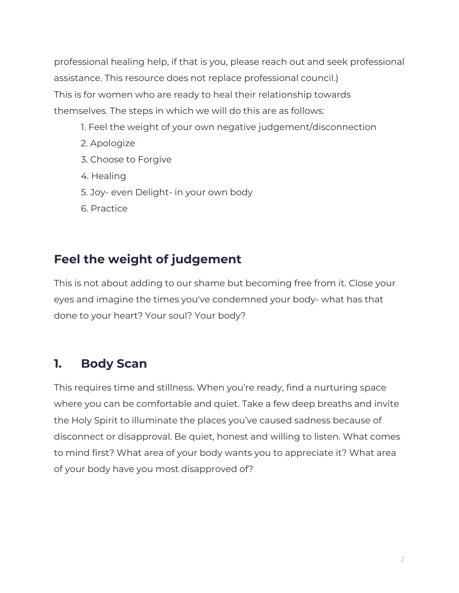professional healing help, if that is you, please reach out and seek professional assistance. This resource does not replace professional council.) This is for women who are ready to heal their relationship towards themselves. The steps in which we will do this are as follows:

- 1. Feel the weight of your own negative judgement/disconnection
- 2. Apologize
- 3. Choose to Forgive
- 4. Healing
- 5. Joy- even Delight- in your own body
- 6. Practice

#### **Feel the weight of judgement**

This is not about adding to our shame but becoming free from it. Close your eyes and imagine the times you've condemned your body- what has that done to your heart? Your soul? Your body?

#### **1. Body Scan**

This requires time and stillness. When you're ready, find a nurturing space where you can be comfortable and quiet. Take a few deep breaths and invite the Holy Spirit to illuminate the places you've caused sadness because of disconnect or disapproval. Be quiet, honest and willing to listen. What comes to mind first? What area of your body wants you to appreciate it? What area of your body have you most disapproved of?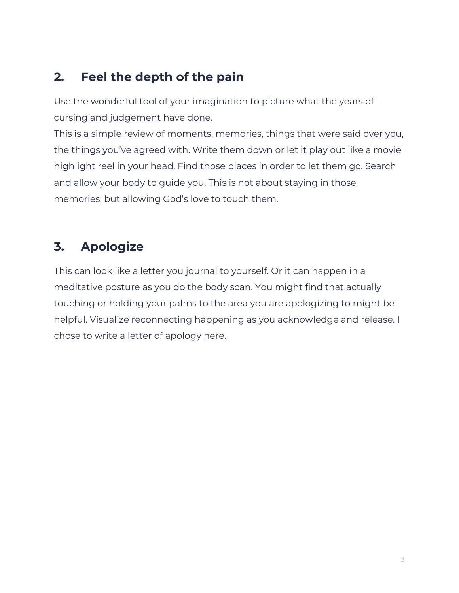### **2. Feel the depth of the pain**

Use the wonderful tool of your imagination to picture what the years of cursing and judgement have done.

This is a simple review of moments, memories, things that were said over you, the things you've agreed with. Write them down or let it play out like a movie highlight reel in your head. Find those places in order to let them go. Search and allow your body to guide you. This is not about staying in those memories, but allowing God's love to touch them.

### **3. Apologize**

This can look like a letter you journal to yourself. Or it can happen in a meditative posture as you do the body scan. You might find that actually touching or holding your palms to the area you are apologizing to might be helpful. Visualize reconnecting happening as you acknowledge and release. I chose to write a letter of apology here.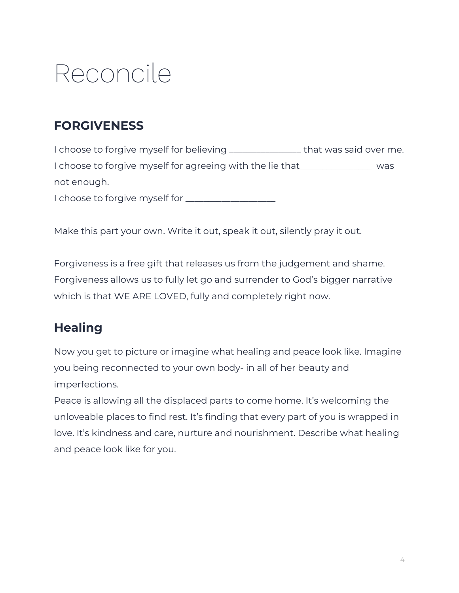### Reconcile

### **FORGIVENESS**

I choose to forgive myself for believing \_\_\_\_\_\_\_\_\_\_\_\_\_\_\_\_ that was said over me. I choose to forgive myself for agreeing with the lie that\_\_\_\_\_\_\_\_\_\_\_\_\_\_\_\_ was not enough. I choose to forgive myself for \_\_\_\_\_\_\_\_\_\_\_\_\_\_\_\_\_\_\_\_

Make this part your own. Write it out, speak it out, silently pray it out.

Forgiveness is a free gift that releases us from the judgement and shame. Forgiveness allows us to fully let go and surrender to God's bigger narrative which is that WE ARE LOVED, fully and completely right now.

### **Healing**

Now you get to picture or imagine what healing and peace look like. Imagine you being reconnected to your own body- in all of her beauty and imperfections.

Peace is allowing all the displaced parts to come home. It's welcoming the unloveable places to find rest. It's finding that every part of you is wrapped in love. It's kindness and care, nurture and nourishment. Describe what healing and peace look like for you.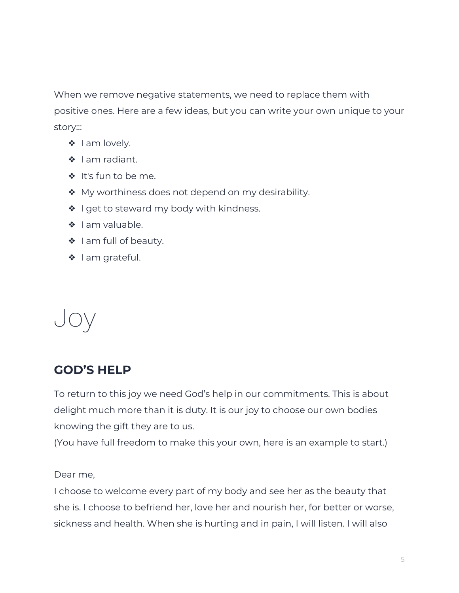When we remove negative statements, we need to replace them with positive ones. Here are a few ideas, but you can write your own unique to your story:::

- ❖ I am lovely.
- ❖ I am radiant.
- ❖ It's fun to be me.
- ❖ My worthiness does not depend on my desirability.
- ◆ I get to steward my body with kindness.
- ❖ I am valuable.
- ❖ I am full of beauty.
- ❖ I am grateful.

### Joy

### **GOD'S HELP**

To return to this joy we need God's help in our commitments. This is about delight much more than it is duty. It is our joy to choose our own bodies knowing the gift they are to us.

(You have full freedom to make this your own, here is an example to start.)

Dear me,

I choose to welcome every part of my body and see her as the beauty that she is. I choose to befriend her, love her and nourish her, for better or worse, sickness and health. When she is hurting and in pain, I will listen. I will also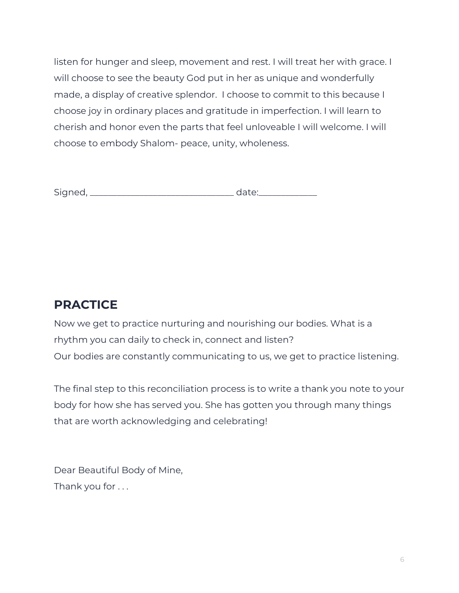listen for hunger and sleep, movement and rest. I will treat her with grace. I will choose to see the beauty God put in her as unique and wonderfully made, a display of creative splendor. I choose to commit to this because I choose joy in ordinary places and gratitude in imperfection. I will learn to cherish and honor even the parts that feel unloveable I will welcome. I will choose to embody Shalom- peace, unity, wholeness.

| <u>- .</u> |
|------------|
|------------|

#### **PRACTICE**

Now we get to practice nurturing and nourishing our bodies. What is a rhythm you can daily to check in, connect and listen? Our bodies are constantly communicating to us, we get to practice listening.

The final step to this reconciliation process is to write a thank you note to your body for how she has served you. She has gotten you through many things that are worth acknowledging and celebrating!

Dear Beautiful Body of Mine, Thank you for . . .